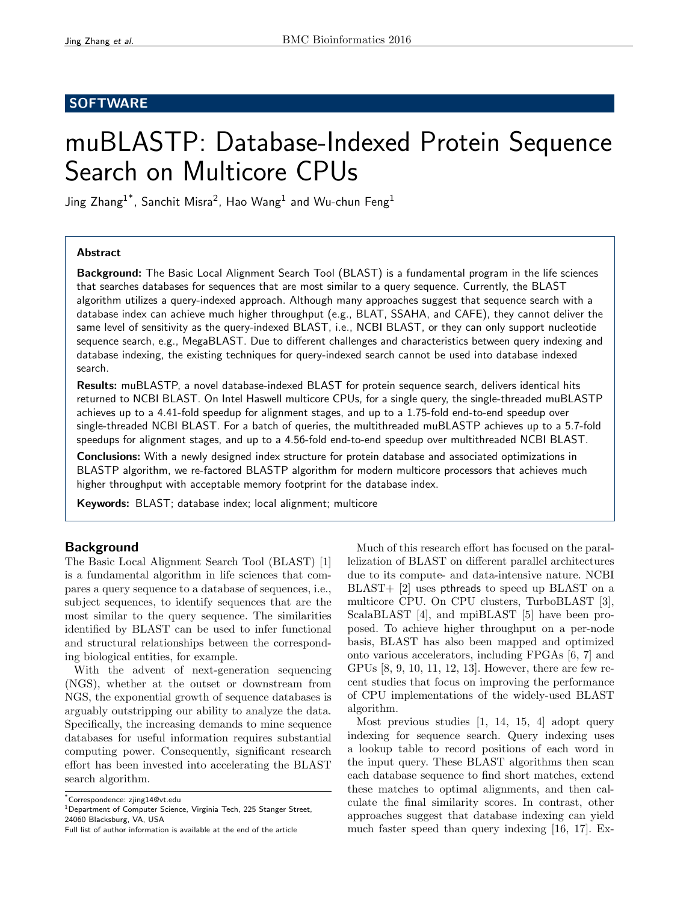# **SOFTWARE**

# muBLASTP: Database-Indexed Protein Sequence Search on Multicore CPUs

Jing Zhang $^{1^\ast}$ , Sanchit Misra $^2$ , Hao Wang $^1$  and Wu-chun Feng $^1$ 

# Abstract

**Background:** The Basic Local Alignment Search Tool (BLAST) is a fundamental program in the life sciences that searches databases for sequences that are most similar to a query sequence. Currently, the BLAST algorithm utilizes a query-indexed approach. Although many approaches suggest that sequence search with a database index can achieve much higher throughput (e.g., BLAT, SSAHA, and CAFE), they cannot deliver the same level of sensitivity as the query-indexed BLAST, i.e., NCBI BLAST, or they can only support nucleotide sequence search, e.g., MegaBLAST. Due to different challenges and characteristics between query indexing and database indexing, the existing techniques for query-indexed search cannot be used into database indexed search.

Results: muBLASTP, a novel database-indexed BLAST for protein sequence search, delivers identical hits returned to NCBI BLAST. On Intel Haswell multicore CPUs, for a single query, the single-threaded muBLASTP achieves up to a 4.41-fold speedup for alignment stages, and up to a 1.75-fold end-to-end speedup over single-threaded NCBI BLAST. For a batch of queries, the multithreaded muBLASTP achieves up to a 5.7-fold speedups for alignment stages, and up to a 4.56-fold end-to-end speedup over multithreaded NCBI BLAST.

Conclusions: With a newly designed index structure for protein database and associated optimizations in BLASTP algorithm, we re-factored BLASTP algorithm for modern multicore processors that achieves much higher throughput with acceptable memory footprint for the database index.

Keywords: BLAST; database index; local alignment; multicore

# Background

The Basic Local Alignment Search Tool (BLAST) [1] is a fundamental algorithm in life sciences that compares a query sequence to a database of sequences, i.e., subject sequences, to identify sequences that are the most similar to the query sequence. The similarities identified by BLAST can be used to infer functional and structural relationships between the corresponding biological entities, for example.

With the advent of next-generation sequencing (NGS), whether at the outset or downstream from NGS, the exponential growth of sequence databases is arguably outstripping our ability to analyze the data. Specifically, the increasing demands to mine sequence databases for useful information requires substantial computing power. Consequently, significant research effort has been invested into accelerating the BLAST search algorithm.

\*Correspondence: zjing14@vt.edu

Much of this research effort has focused on the parallelization of BLAST on different parallel architectures due to its compute- and data-intensive nature. NCBI BLAST+ [2] uses pthreads to speed up BLAST on a multicore CPU. On CPU clusters, TurboBLAST [3], ScalaBLAST [4], and mpiBLAST [5] have been proposed. To achieve higher throughput on a per-node basis, BLAST has also been mapped and optimized onto various accelerators, including FPGAs [6, 7] and GPUs [8, 9, 10, 11, 12, 13]. However, there are few recent studies that focus on improving the performance of CPU implementations of the widely-used BLAST algorithm.

Most previous studies [1, 14, 15, 4] adopt query indexing for sequence search. Query indexing uses a lookup table to record positions of each word in the input query. These BLAST algorithms then scan each database sequence to find short matches, extend these matches to optimal alignments, and then calculate the final similarity scores. In contrast, other approaches suggest that database indexing can yield much faster speed than query indexing [16, 17]. Ex-

<sup>&</sup>lt;sup>1</sup>Department of Computer Science, Virginia Tech, 225 Stanger Street, 24060 Blacksburg, VA, USA

Full list of author information is available at the end of the article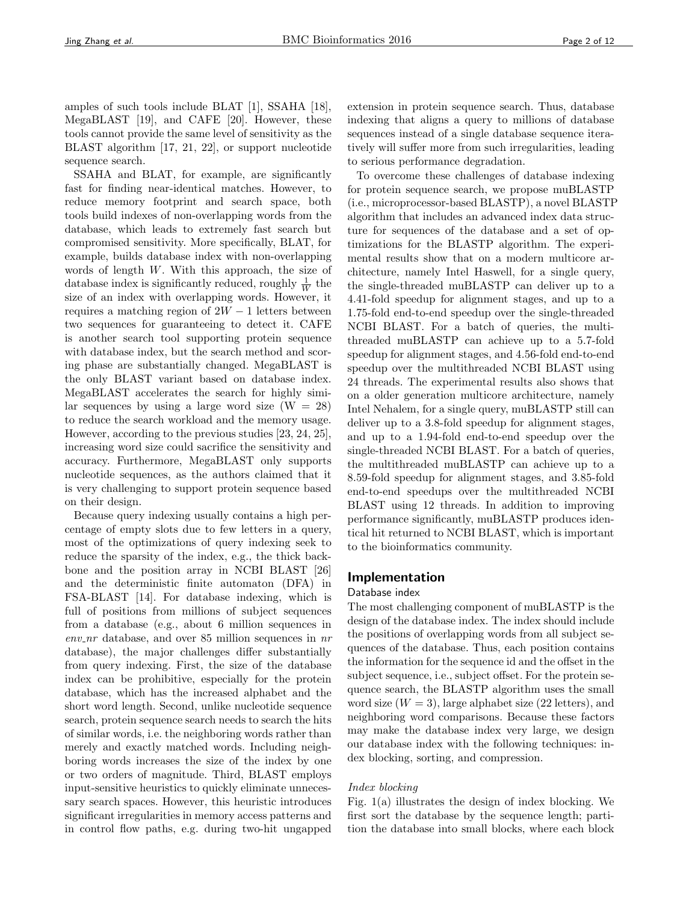amples of such tools include BLAT [1], SSAHA [18], MegaBLAST [19], and CAFE [20]. However, these tools cannot provide the same level of sensitivity as the BLAST algorithm [17, 21, 22], or support nucleotide sequence search.

SSAHA and BLAT, for example, are significantly fast for finding near-identical matches. However, to reduce memory footprint and search space, both tools build indexes of non-overlapping words from the database, which leads to extremely fast search but compromised sensitivity. More specifically, BLAT, for example, builds database index with non-overlapping words of length W. With this approach, the size of database index is significantly reduced, roughly  $\frac{1}{W}$  the size of an index with overlapping words. However, it requires a matching region of  $2W - 1$  letters between two sequences for guaranteeing to detect it. CAFE is another search tool supporting protein sequence with database index, but the search method and scoring phase are substantially changed. MegaBLAST is the only BLAST variant based on database index. MegaBLAST accelerates the search for highly similar sequences by using a large word size  $(W = 28)$ to reduce the search workload and the memory usage. However, according to the previous studies [23, 24, 25], increasing word size could sacrifice the sensitivity and accuracy. Furthermore, MegaBLAST only supports nucleotide sequences, as the authors claimed that it is very challenging to support protein sequence based on their design.

Because query indexing usually contains a high percentage of empty slots due to few letters in a query, most of the optimizations of query indexing seek to reduce the sparsity of the index, e.g., the thick backbone and the position array in NCBI BLAST [26] and the deterministic finite automaton (DFA) in FSA-BLAST [14]. For database indexing, which is full of positions from millions of subject sequences from a database (e.g., about 6 million sequences in  $env_nr$  database, and over 85 million sequences in  $nr$ database), the major challenges differ substantially from query indexing. First, the size of the database index can be prohibitive, especially for the protein database, which has the increased alphabet and the short word length. Second, unlike nucleotide sequence search, protein sequence search needs to search the hits of similar words, i.e. the neighboring words rather than merely and exactly matched words. Including neighboring words increases the size of the index by one or two orders of magnitude. Third, BLAST employs input-sensitive heuristics to quickly eliminate unnecessary search spaces. However, this heuristic introduces significant irregularities in memory access patterns and in control flow paths, e.g. during two-hit ungapped

extension in protein sequence search. Thus, database indexing that aligns a query to millions of database sequences instead of a single database sequence iteratively will suffer more from such irregularities, leading to serious performance degradation.

To overcome these challenges of database indexing for protein sequence search, we propose muBLASTP (i.e., microprocessor-based BLASTP), a novel BLASTP algorithm that includes an advanced index data structure for sequences of the database and a set of optimizations for the BLASTP algorithm. The experimental results show that on a modern multicore architecture, namely Intel Haswell, for a single query, the single-threaded muBLASTP can deliver up to a 4.41-fold speedup for alignment stages, and up to a 1.75-fold end-to-end speedup over the single-threaded NCBI BLAST. For a batch of queries, the multithreaded muBLASTP can achieve up to a 5.7-fold speedup for alignment stages, and 4.56-fold end-to-end speedup over the multithreaded NCBI BLAST using 24 threads. The experimental results also shows that on a older generation multicore architecture, namely Intel Nehalem, for a single query, muBLASTP still can deliver up to a 3.8-fold speedup for alignment stages, and up to a 1.94-fold end-to-end speedup over the single-threaded NCBI BLAST. For a batch of queries, the multithreaded muBLASTP can achieve up to a 8.59-fold speedup for alignment stages, and 3.85-fold end-to-end speedups over the multithreaded NCBI BLAST using 12 threads. In addition to improving performance significantly, muBLASTP produces identical hit returned to NCBI BLAST, which is important to the bioinformatics community.

# Implementation

## Database index

The most challenging component of muBLASTP is the design of the database index. The index should include the positions of overlapping words from all subject sequences of the database. Thus, each position contains the information for the sequence id and the offset in the subject sequence, i.e., subject offset. For the protein sequence search, the BLASTP algorithm uses the small word size  $(W = 3)$ , large alphabet size (22 letters), and neighboring word comparisons. Because these factors may make the database index very large, we design our database index with the following techniques: index blocking, sorting, and compression.

## Index blocking

Fig. 1(a) illustrates the design of index blocking. We first sort the database by the sequence length; partition the database into small blocks, where each block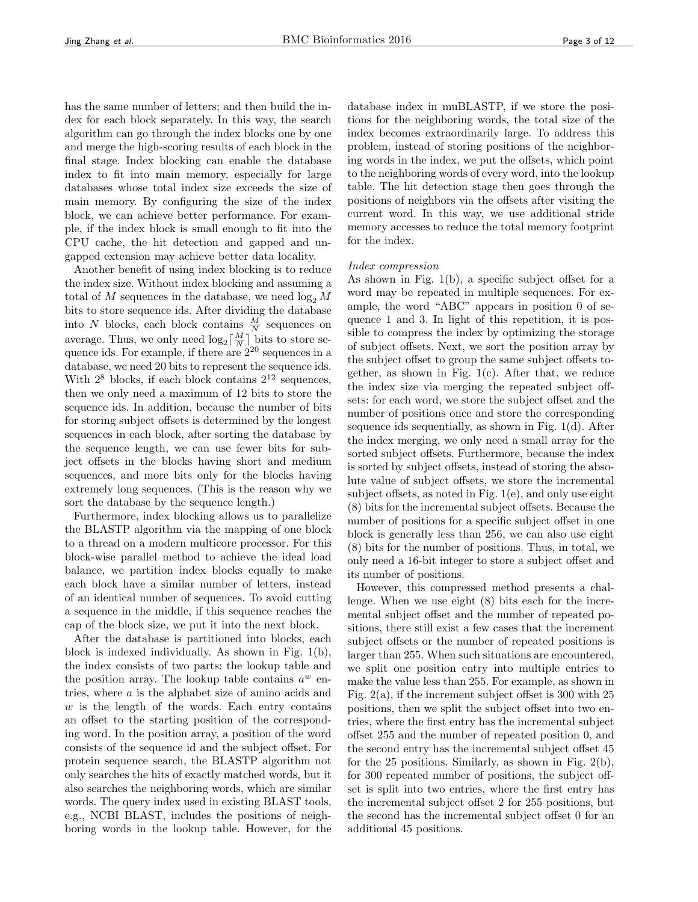has the same number of letters; and then build the index for each block separately. In this way, the search algorithm can go through the index blocks one by one and merge the high-scoring results of each block in the final stage. Index blocking can enable the database index to fit into main memory, especially for large databases whose total index size exceeds the size of main memory. By configuring the size of the index block, we can achieve better performance. For example, if the index block is small enough to fit into the CPU cache, the hit detection and gapped and ungapped extension may achieve better data locality.

Another benefit of using index blocking is to reduce the index size. Without index blocking and assuming a total of M sequences in the database, we need  $\log_2 M$ bits to store sequence ids. After dividing the database into N blocks, each block contains  $\frac{M}{N}$  sequences on average. Thus, we only need  $\log_2 \left[\frac{M}{N}\right]$  bits to store sequence ids. For example, if there are  $2^{20}$  sequences in a database, we need 20 bits to represent the sequence ids. With  $2^8$  blocks, if each block contains  $2^{12}$  sequences, then we only need a maximum of 12 bits to store the sequence ids. In addition, because the number of bits for storing subject offsets is determined by the longest sequences in each block, after sorting the database by the sequence length, we can use fewer bits for subject offsets in the blocks having short and medium sequences, and more bits only for the blocks having extremely long sequences. (This is the reason why we sort the database by the sequence length.)

Furthermore, index blocking allows us to parallelize the BLASTP algorithm via the mapping of one block to a thread on a modern multicore processor. For this block-wise parallel method to achieve the ideal load balance, we partition index blocks equally to make each block have a similar number of letters, instead of an identical number of sequences. To avoid cutting a sequence in the middle, if this sequence reaches the cap of the block size, we put it into the next block.

After the database is partitioned into blocks, each block is indexed individually. As shown in Fig. 1(b), the index consists of two parts: the lookup table and the position array. The lookup table contains  $a^w$  entries, where a is the alphabet size of amino acids and  $w$  is the length of the words. Each entry contains an offset to the starting position of the corresponding word. In the position array, a position of the word consists of the sequence id and the subject offset. For protein sequence search, the BLASTP algorithm not only searches the hits of exactly matched words, but it also searches the neighboring words, which are similar words. The query index used in existing BLAST tools, e.g., NCBI BLAST, includes the positions of neighboring words in the lookup table. However, for the database index in muBLASTP, if we store the positions for the neighboring words, the total size of the index becomes extraordinarily large. To address this problem, instead of storing positions of the neighboring words in the index, we put the offsets, which point to the neighboring words of every word, into the lookup table. The hit detection stage then goes through the positions of neighbors via the offsets after visiting the current word. In this way, we use additional stride memory accesses to reduce the total memory footprint for the index.

#### Index compression

As shown in Fig. 1(b), a specific subject offset for a word may be repeated in multiple sequences. For example, the word "ABC" appears in position 0 of sequence 1 and 3. In light of this repetition, it is possible to compress the index by optimizing the storage of subject offsets. Next, we sort the position array by the subject offset to group the same subject offsets together, as shown in Fig.  $1(c)$ . After that, we reduce the index size via merging the repeated subject offsets: for each word, we store the subject offset and the number of positions once and store the corresponding sequence ids sequentially, as shown in Fig. 1(d). After the index merging, we only need a small array for the sorted subject offsets. Furthermore, because the index is sorted by subject offsets, instead of storing the absolute value of subject offsets, we store the incremental subject offsets, as noted in Fig. 1(e), and only use eight (8) bits for the incremental subject offsets. Because the number of positions for a specific subject offset in one block is generally less than 256, we can also use eight (8) bits for the number of positions. Thus, in total, we only need a 16-bit integer to store a subject offset and its number of positions.

However, this compressed method presents a challenge. When we use eight (8) bits each for the incremental subject offset and the number of repeated positions, there still exist a few cases that the increment subject offsets or the number of repeated positions is larger than 255. When such situations are encountered, we split one position entry into multiple entries to make the value less than 255. For example, as shown in Fig.  $2(a)$ , if the increment subject offset is 300 with 25 positions, then we split the subject offset into two entries, where the first entry has the incremental subject offset 255 and the number of repeated position 0, and the second entry has the incremental subject offset 45 for the 25 positions. Similarly, as shown in Fig.  $2(b)$ , for 300 repeated number of positions, the subject offset is split into two entries, where the first entry has the incremental subject offset 2 for 255 positions, but the second has the incremental subject offset 0 for an additional 45 positions.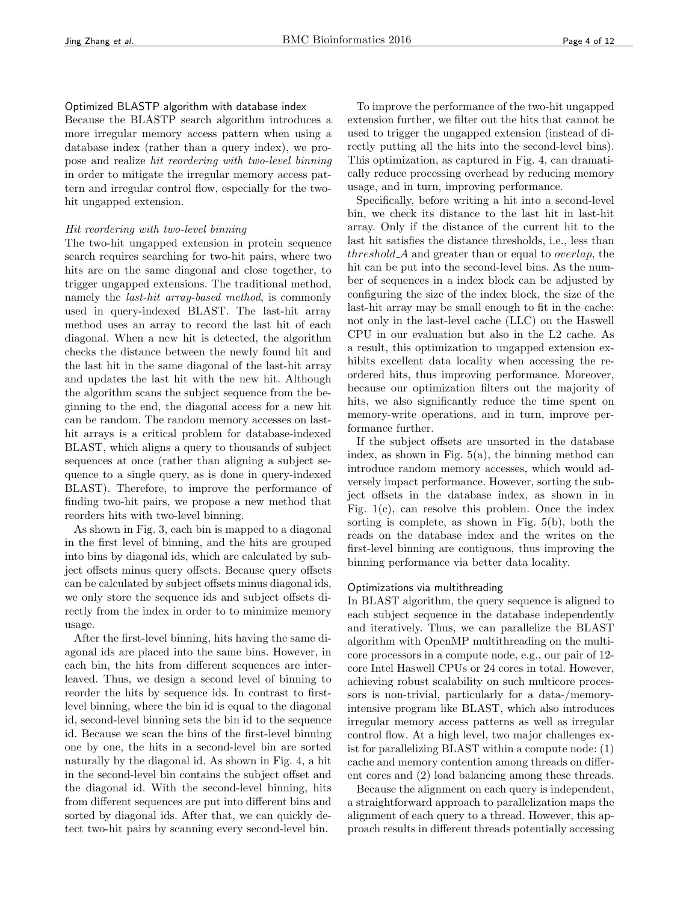## Optimized BLASTP algorithm with database index

Because the BLASTP search algorithm introduces a more irregular memory access pattern when using a database index (rather than a query index), we propose and realize hit reordering with two-level binning in order to mitigate the irregular memory access pattern and irregular control flow, especially for the twohit ungapped extension.

#### Hit reordering with two-level binning

The two-hit ungapped extension in protein sequence search requires searching for two-hit pairs, where two hits are on the same diagonal and close together, to trigger ungapped extensions. The traditional method, namely the *last-hit array-based method*, is commonly used in query-indexed BLAST. The last-hit array method uses an array to record the last hit of each diagonal. When a new hit is detected, the algorithm checks the distance between the newly found hit and the last hit in the same diagonal of the last-hit array and updates the last hit with the new hit. Although the algorithm scans the subject sequence from the beginning to the end, the diagonal access for a new hit can be random. The random memory accesses on lasthit arrays is a critical problem for database-indexed BLAST, which aligns a query to thousands of subject sequences at once (rather than aligning a subject sequence to a single query, as is done in query-indexed BLAST). Therefore, to improve the performance of finding two-hit pairs, we propose a new method that reorders hits with two-level binning.

As shown in Fig. 3, each bin is mapped to a diagonal in the first level of binning, and the hits are grouped into bins by diagonal ids, which are calculated by subject offsets minus query offsets. Because query offsets can be calculated by subject offsets minus diagonal ids, we only store the sequence ids and subject offsets directly from the index in order to to minimize memory usage.

After the first-level binning, hits having the same diagonal ids are placed into the same bins. However, in each bin, the hits from different sequences are interleaved. Thus, we design a second level of binning to reorder the hits by sequence ids. In contrast to firstlevel binning, where the bin id is equal to the diagonal id, second-level binning sets the bin id to the sequence id. Because we scan the bins of the first-level binning one by one, the hits in a second-level bin are sorted naturally by the diagonal id. As shown in Fig. 4, a hit in the second-level bin contains the subject offset and the diagonal id. With the second-level binning, hits from different sequences are put into different bins and sorted by diagonal ids. After that, we can quickly detect two-hit pairs by scanning every second-level bin.

To improve the performance of the two-hit ungapped extension further, we filter out the hits that cannot be used to trigger the ungapped extension (instead of directly putting all the hits into the second-level bins). This optimization, as captured in Fig. 4, can dramatically reduce processing overhead by reducing memory usage, and in turn, improving performance.

Specifically, before writing a hit into a second-level bin, we check its distance to the last hit in last-hit array. Only if the distance of the current hit to the last hit satisfies the distance thresholds, i.e., less than threshold  $A$  and greater than or equal to *overlap*, the hit can be put into the second-level bins. As the number of sequences in a index block can be adjusted by configuring the size of the index block, the size of the last-hit array may be small enough to fit in the cache: not only in the last-level cache (LLC) on the Haswell CPU in our evaluation but also in the L2 cache. As a result, this optimization to ungapped extension exhibits excellent data locality when accessing the reordered hits, thus improving performance. Moreover, because our optimization filters out the majority of hits, we also significantly reduce the time spent on memory-write operations, and in turn, improve performance further.

If the subject offsets are unsorted in the database index, as shown in Fig.  $5(a)$ , the binning method can introduce random memory accesses, which would adversely impact performance. However, sorting the subject offsets in the database index, as shown in in Fig.  $1(c)$ , can resolve this problem. Once the index sorting is complete, as shown in Fig. 5(b), both the reads on the database index and the writes on the first-level binning are contiguous, thus improving the binning performance via better data locality.

## Optimizations via multithreading

In BLAST algorithm, the query sequence is aligned to each subject sequence in the database independently and iteratively. Thus, we can parallelize the BLAST algorithm with OpenMP multithreading on the multicore processors in a compute node, e.g., our pair of 12 core Intel Haswell CPUs or 24 cores in total. However, achieving robust scalability on such multicore processors is non-trivial, particularly for a data-/memoryintensive program like BLAST, which also introduces irregular memory access patterns as well as irregular control flow. At a high level, two major challenges exist for parallelizing BLAST within a compute node: (1) cache and memory contention among threads on different cores and (2) load balancing among these threads.

Because the alignment on each query is independent, a straightforward approach to parallelization maps the alignment of each query to a thread. However, this approach results in different threads potentially accessing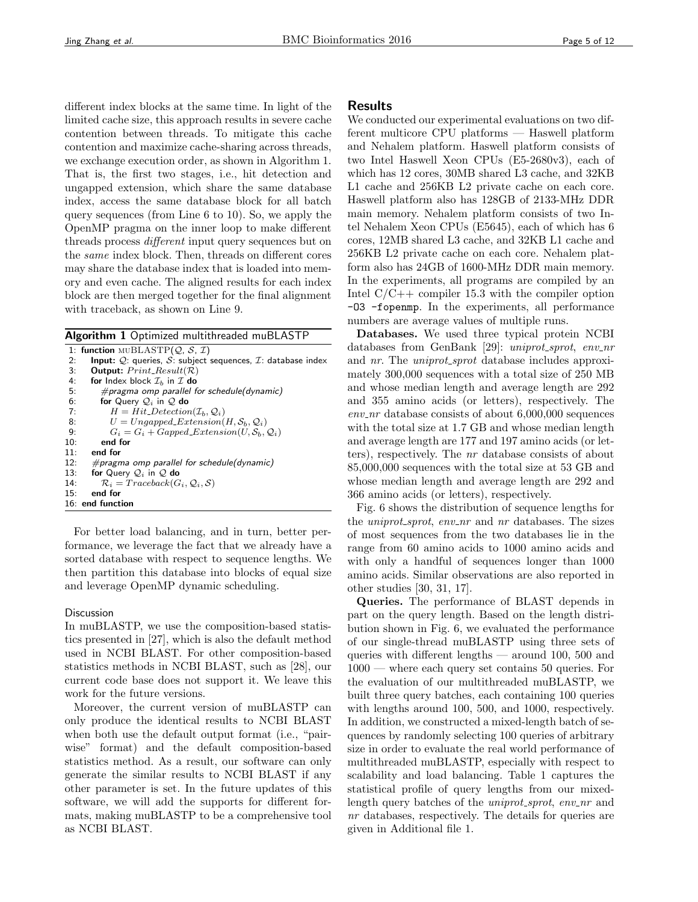different index blocks at the same time. In light of the limited cache size, this approach results in severe cache contention between threads. To mitigate this cache contention and maximize cache-sharing across threads, we exchange execution order, as shown in Algorithm 1. That is, the first two stages, i.e., hit detection and ungapped extension, which share the same database index, access the same database block for all batch query sequences (from Line 6 to 10). So, we apply the OpenMP pragma on the inner loop to make different threads process *different* input query sequences but on the same index block. Then, threads on different cores may share the database index that is loaded into memory and even cache. The aligned results for each index block are then merged together for the final alignment with traceback, as shown on Line 9.

Algorithm 1 Optimized multithreaded muBLASTP

```
1: function \text{MUBLASTP}(\mathcal{Q}, \mathcal{S}, \mathcal{I})2: Input: Q: queries, S: subject sequences, I: database index
 3: Output: Print\_Result(R)4: for Index block \mathcal{I}_b in \mathcal{I} do<br>5: #pragma omp parallel for
             \#pragma omp parallel for schedule(dynamic)
 6: for Query Q_i in Q do<br>7: H = Hit\_ Detection7: H = Hit\_ Detection(\mathcal{I}_b, \mathcal{Q}_i)<br>8: U = Unqapped\_Extension(8: U = Ungapped Extension(H, S_b, Q_i)<br>
9: G_i = G_i + Gamed Extension(H, S_b)9: G_i = G_i + Gapped\_Extension(U, S_b, Q_i)<br>10: end for
            end for
11: end for
12: #pragma omp parallel for schedule(dynamic)
13: for Query Q_i in Q do<br>14: R_i = Traceback(G)14: \mathcal{R}_i = Traceback(G_i, \mathcal{Q}_i, \mathcal{S})<br>15: end for
         end for
16: end function
```
For better load balancing, and in turn, better performance, we leverage the fact that we already have a sorted database with respect to sequence lengths. We then partition this database into blocks of equal size and leverage OpenMP dynamic scheduling.

## **Discussion**

In muBLASTP, we use the composition-based statistics presented in [27], which is also the default method used in NCBI BLAST. For other composition-based statistics methods in NCBI BLAST, such as [28], our current code base does not support it. We leave this work for the future versions.

Moreover, the current version of muBLASTP can only produce the identical results to NCBI BLAST when both use the default output format (i.e., "pairwise" format) and the default composition-based statistics method. As a result, our software can only generate the similar results to NCBI BLAST if any other parameter is set. In the future updates of this software, we will add the supports for different formats, making muBLASTP to be a comprehensive tool as NCBI BLAST.

# Results

We conducted our experimental evaluations on two different multicore CPU platforms — Haswell platform and Nehalem platform. Haswell platform consists of two Intel Haswell Xeon CPUs (E5-2680v3), each of which has 12 cores, 30MB shared L3 cache, and 32KB L1 cache and 256KB L2 private cache on each core. Haswell platform also has 128GB of 2133-MHz DDR main memory. Nehalem platform consists of two Intel Nehalem Xeon CPUs (E5645), each of which has 6 cores, 12MB shared L3 cache, and 32KB L1 cache and 256KB L2 private cache on each core. Nehalem platform also has 24GB of 1600-MHz DDR main memory. In the experiments, all programs are compiled by an Intel  $C/C++$  compiler 15.3 with the compiler option -O3 -fopenmp. In the experiments, all performance numbers are average values of multiple runs.

Databases. We used three typical protein NCBI databases from GenBank [29]: uniprot\_sprot, env\_nr and *nr*. The *uniprot\_sprot* database includes approximately 300,000 sequences with a total size of 250 MB and whose median length and average length are 292 and 355 amino acids (or letters), respectively. The  $env_nr$  database consists of about  $6,000,000$  sequences with the total size at 1.7 GB and whose median length and average length are 177 and 197 amino acids (or letters), respectively. The nr database consists of about 85,000,000 sequences with the total size at 53 GB and whose median length and average length are 292 and 366 amino acids (or letters), respectively.

Fig. 6 shows the distribution of sequence lengths for the *uniprot\_sprot*, env\_nr and nr databases. The sizes of most sequences from the two databases lie in the range from 60 amino acids to 1000 amino acids and with only a handful of sequences longer than 1000 amino acids. Similar observations are also reported in other studies [30, 31, 17].

Queries. The performance of BLAST depends in part on the query length. Based on the length distribution shown in Fig. 6, we evaluated the performance of our single-thread muBLASTP using three sets of queries with different lengths — around 100, 500 and 1000 — where each query set contains 50 queries. For the evaluation of our multithreaded muBLASTP, we built three query batches, each containing 100 queries with lengths around 100, 500, and 1000, respectively. In addition, we constructed a mixed-length batch of sequences by randomly selecting 100 queries of arbitrary size in order to evaluate the real world performance of multithreaded muBLASTP, especially with respect to scalability and load balancing. Table 1 captures the statistical profile of query lengths from our mixedlength query batches of the *uniprot\_sprot*, env\_nr and nr databases, respectively. The details for queries are given in Additional file 1.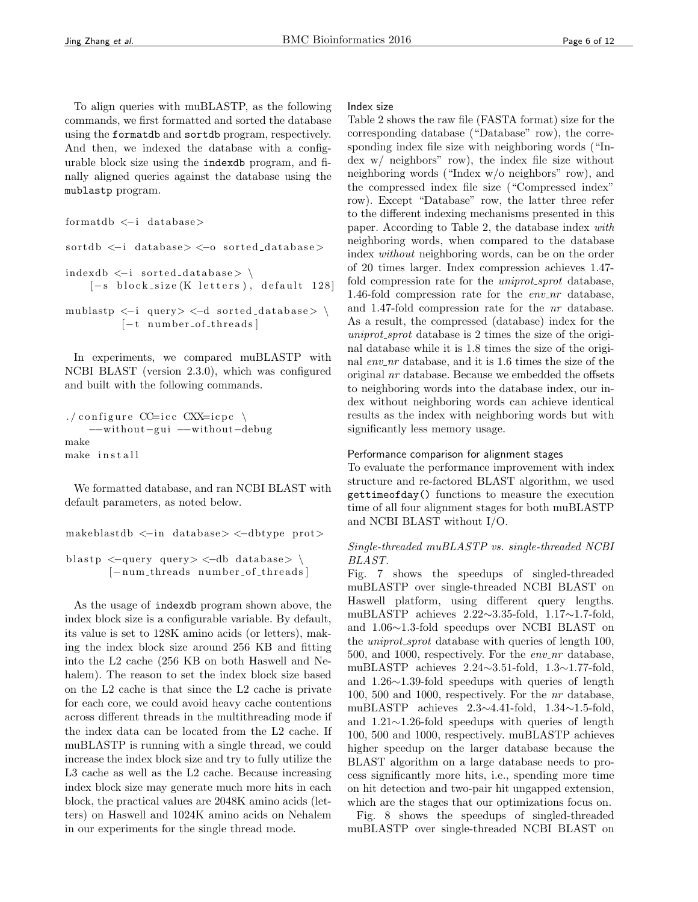To align queries with muBLASTP, as the following commands, we first formatted and sorted the database using the formatdb and sortdb program, respectively. And then, we indexed the database with a configurable block size using the indexdb program, and finally aligned queries against the database using the mublastp program.

```
formatdb <−i database>
```
 $sortedb \leq i$  database>  $\leq -0$  sorted database>  $index db \leftarrow i sorted_data base > \n\$  $[-s \text{ block_size} (K \text{ letters}), \text{ default } 128]$ 

```
mublastp \langle -i \rangle query> \langle -d \rangle sorted_database> \
             [-t \t number_of_threads]
```
In experiments, we compared muBLASTP with NCBI BLAST (version 2.3.0), which was configured and built with the following commands.

```
./configure CC=icc CXX=icpc \setminus−−without−g ui −−without−debug
make
make install
```
We formatted database, and ran NCBI BLAST with default parameters, as noted below.

makeblastdb <−i n database> <−dbtype prot>

blast p  $\langle$ -query query  $\langle$ -db database> \ [-num\_threads number\_of\_threads]

As the usage of indexdb program shown above, the index block size is a configurable variable. By default, its value is set to 128K amino acids (or letters), making the index block size around 256 KB and fitting into the L2 cache (256 KB on both Haswell and Nehalem). The reason to set the index block size based on the L2 cache is that since the L2 cache is private for each core, we could avoid heavy cache contentions across different threads in the multithreading mode if the index data can be located from the L2 cache. If muBLASTP is running with a single thread, we could increase the index block size and try to fully utilize the L3 cache as well as the L2 cache. Because increasing index block size may generate much more hits in each block, the practical values are 2048K amino acids (letters) on Haswell and 1024K amino acids on Nehalem in our experiments for the single thread mode.

#### Index size

Table 2 shows the raw file (FASTA format) size for the corresponding database ("Database" row), the corresponding index file size with neighboring words ("Index w/ neighbors" row), the index file size without neighboring words ("Index w/o neighbors" row), and the compressed index file size ("Compressed index" row). Except "Database" row, the latter three refer to the different indexing mechanisms presented in this paper. According to Table 2, the database index with neighboring words, when compared to the database index without neighboring words, can be on the order of 20 times larger. Index compression achieves 1.47 fold compression rate for the *uniprot\_sprot* database, 1.46-fold compression rate for the  $env_nr$  database, and 1.47-fold compression rate for the nr database. As a result, the compressed (database) index for the  $uniprot\_sprot$  database is 2 times the size of the original database while it is 1.8 times the size of the original  $env_nr$  database, and it is 1.6 times the size of the original nr database. Because we embedded the offsets to neighboring words into the database index, our index without neighboring words can achieve identical results as the index with neighboring words but with significantly less memory usage.

## Performance comparison for alignment stages

To evaluate the performance improvement with index structure and re-factored BLAST algorithm, we used gettimeofday() functions to measure the execution time of all four alignment stages for both muBLASTP and NCBI BLAST without I/O.

## Single-threaded muBLASTP vs. single-threaded NCBI BLAST.

Fig. 7 shows the speedups of singled-threaded muBLASTP over single-threaded NCBI BLAST on Haswell platform, using different query lengths. muBLASTP achieves 2.22∼3.35-fold, 1.17∼1.7-fold, and 1.06∼1.3-fold speedups over NCBI BLAST on the *uniprot\_sprot* database with queries of length 100, 500, and 1000, respectively. For the  $env_nr$  database, muBLASTP achieves 2.24∼3.51-fold, 1.3∼1.77-fold, and 1.26∼1.39-fold speedups with queries of length 100, 500 and 1000, respectively. For the nr database, muBLASTP achieves 2.3∼4.41-fold, 1.34∼1.5-fold, and 1.21∼1.26-fold speedups with queries of length 100, 500 and 1000, respectively. muBLASTP achieves higher speedup on the larger database because the BLAST algorithm on a large database needs to process significantly more hits, i.e., spending more time on hit detection and two-pair hit ungapped extension, which are the stages that our optimizations focus on.

Fig. 8 shows the speedups of singled-threaded muBLASTP over single-threaded NCBI BLAST on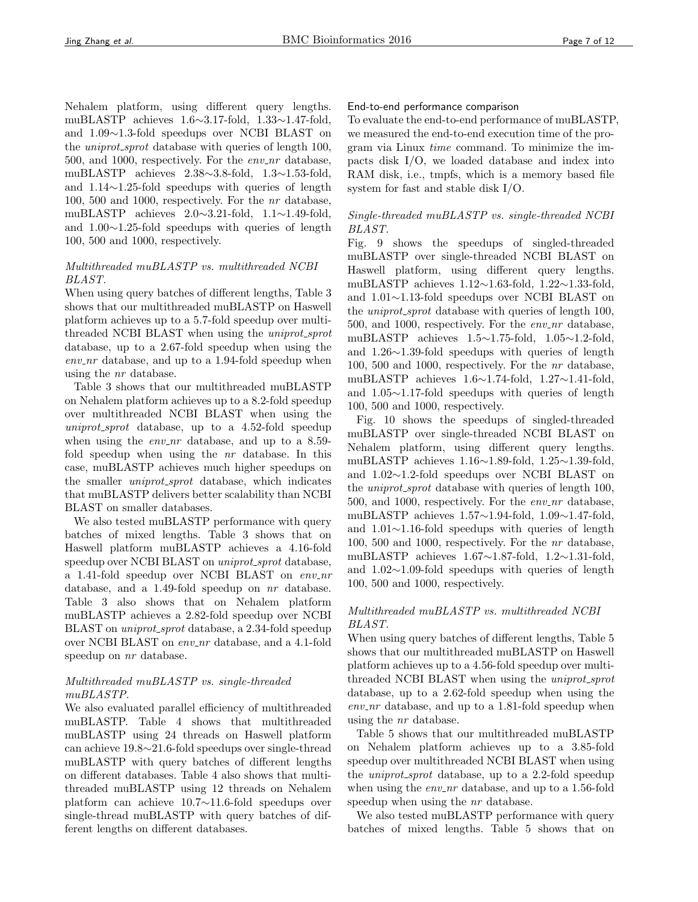Nehalem platform, using different query lengths. muBLASTP achieves 1.6∼3.17-fold, 1.33∼1.47-fold, and 1.09∼1.3-fold speedups over NCBI BLAST on the *uniprot\_sprot* database with queries of length 100, 500, and 1000, respectively. For the  $env_nr$  database, muBLASTP achieves 2.38∼3.8-fold, 1.3∼1.53-fold, and 1.14∼1.25-fold speedups with queries of length 100, 500 and 1000, respectively. For the nr database, muBLASTP achieves 2.0∼3.21-fold, 1.1∼1.49-fold, and 1.00∼1.25-fold speedups with queries of length 100, 500 and 1000, respectively.

# Multithreaded muBLASTP vs. multithreaded NCBI BLAST.

When using query batches of different lengths, Table 3 shows that our multithreaded muBLASTP on Haswell platform achieves up to a 5.7-fold speedup over multithreaded NCBI BLAST when using the *uniprot\_sprot* database, up to a 2.67-fold speedup when using the  $env_nr$  database, and up to a 1.94-fold speedup when using the nr database.

Table 3 shows that our multithreaded muBLASTP on Nehalem platform achieves up to a 8.2-fold speedup over multithreaded NCBI BLAST when using the uniprot\_sprot database, up to a 4.52-fold speedup when using the *env\_nr* database, and up to a  $8.59$ fold speedup when using the nr database. In this case, muBLASTP achieves much higher speedups on the smaller *uniprot\_sprot* database, which indicates that muBLASTP delivers better scalability than NCBI BLAST on smaller databases.

We also tested muBLASTP performance with query batches of mixed lengths. Table 3 shows that on Haswell platform muBLASTP achieves a 4.16-fold speedup over NCBI BLAST on uniprot\_sprot database, a 1.41-fold speedup over NCBI BLAST on env\_nr database, and a 1.49-fold speedup on nr database. Table 3 also shows that on Nehalem platform muBLASTP achieves a 2.82-fold speedup over NCBI BLAST on *uniprot\_sprot* database, a 2.34-fold speedup over NCBI BLAST on env\_nr database, and a 4.1-fold speedup on  $nr$  database.

# Multithreaded muBLASTP vs. single-threaded muBLASTP.

We also evaluated parallel efficiency of multithreaded muBLASTP. Table 4 shows that multithreaded muBLASTP using 24 threads on Haswell platform can achieve 19.8∼21.6-fold speedups over single-thread muBLASTP with query batches of different lengths on different databases. Table 4 also shows that multithreaded muBLASTP using 12 threads on Nehalem platform can achieve 10.7∼11.6-fold speedups over single-thread muBLASTP with query batches of different lengths on different databases.

## End-to-end performance comparison

To evaluate the end-to-end performance of muBLASTP, we measured the end-to-end execution time of the program via Linux time command. To minimize the impacts disk I/O, we loaded database and index into RAM disk, i.e., tmpfs, which is a memory based file system for fast and stable disk I/O.

# Single-threaded muBLASTP vs. single-threaded NCBI BLAST.

Fig. 9 shows the speedups of singled-threaded muBLASTP over single-threaded NCBI BLAST on Haswell platform, using different query lengths. muBLASTP achieves 1.12∼1.63-fold, 1.22∼1.33-fold, and 1.01∼1.13-fold speedups over NCBI BLAST on the *uniprot\_sprot* database with queries of length 100, 500, and 1000, respectively. For the  $env_nr$  database, muBLASTP achieves 1.5∼1.75-fold, 1.05∼1.2-fold, and 1.26∼1.39-fold speedups with queries of length 100, 500 and 1000, respectively. For the nr database, muBLASTP achieves 1.6∼1.74-fold, 1.27∼1.41-fold, and 1.05∼1.17-fold speedups with queries of length 100, 500 and 1000, respectively.

Fig. 10 shows the speedups of singled-threaded muBLASTP over single-threaded NCBI BLAST on Nehalem platform, using different query lengths. muBLASTP achieves 1.16∼1.89-fold, 1.25∼1.39-fold, and 1.02∼1.2-fold speedups over NCBI BLAST on the *uniprot\_sprot* database with queries of length 100, 500, and 1000, respectively. For the  $env_nr$  database, muBLASTP achieves 1.57∼1.94-fold, 1.09∼1.47-fold, and 1.01∼1.16-fold speedups with queries of length 100, 500 and 1000, respectively. For the nr database, muBLASTP achieves 1.67∼1.87-fold, 1.2∼1.31-fold, and 1.02∼1.09-fold speedups with queries of length 100, 500 and 1000, respectively.

# Multithreaded muBLASTP vs. multithreaded NCBI BLAST.

When using query batches of different lengths, Table 5 shows that our multithreaded muBLASTP on Haswell platform achieves up to a 4.56-fold speedup over multithreaded NCBI BLAST when using the *uniprot\_sprot* database, up to a 2.62-fold speedup when using the  $env_nr$  database, and up to a 1.81-fold speedup when using the nr database.

Table 5 shows that our multithreaded muBLASTP on Nehalem platform achieves up to a 3.85-fold speedup over multithreaded NCBI BLAST when using the *uniprot\_sprot* database, up to a 2.2-fold speedup when using the  $env\_nr$  database, and up to a 1.56-fold speedup when using the  $nr$  database.

We also tested muBLASTP performance with query batches of mixed lengths. Table 5 shows that on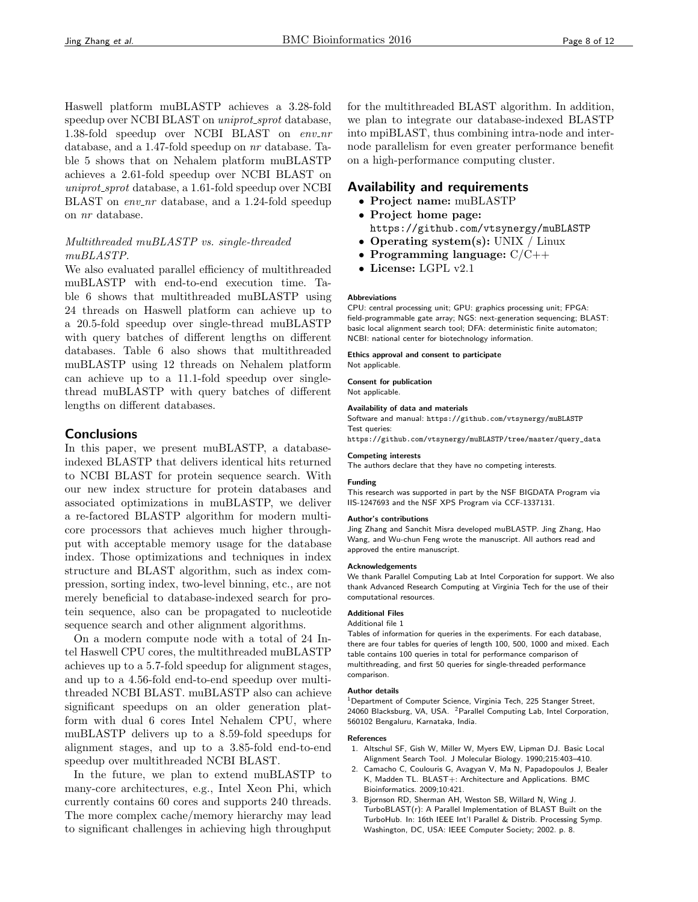Haswell platform muBLASTP achieves a 3.28-fold speedup over NCBI BLAST on *uniprot\_sprot* database, 1.38-fold speedup over NCBI BLAST on  $env\_nr$ database, and a 1.47-fold speedup on nr database. Table 5 shows that on Nehalem platform muBLASTP achieves a 2.61-fold speedup over NCBI BLAST on uniprot sprot database, a 1.61-fold speedup over NCBI BLAST on  $env_nr$  database, and a 1.24-fold speedup on nr database.

# Multithreaded muBLASTP vs. single-threaded muBLASTP.

We also evaluated parallel efficiency of multithreaded muBLASTP with end-to-end execution time. Table 6 shows that multithreaded muBLASTP using 24 threads on Haswell platform can achieve up to a 20.5-fold speedup over single-thread muBLASTP with query batches of different lengths on different databases. Table 6 also shows that multithreaded muBLASTP using 12 threads on Nehalem platform can achieve up to a 11.1-fold speedup over singlethread muBLASTP with query batches of different lengths on different databases.

# **Conclusions**

In this paper, we present muBLASTP, a databaseindexed BLASTP that delivers identical hits returned to NCBI BLAST for protein sequence search. With our new index structure for protein databases and associated optimizations in muBLASTP, we deliver a re-factored BLASTP algorithm for modern multicore processors that achieves much higher throughput with acceptable memory usage for the database index. Those optimizations and techniques in index structure and BLAST algorithm, such as index compression, sorting index, two-level binning, etc., are not merely beneficial to database-indexed search for protein sequence, also can be propagated to nucleotide sequence search and other alignment algorithms.

On a modern compute node with a total of 24 Intel Haswell CPU cores, the multithreaded muBLASTP achieves up to a 5.7-fold speedup for alignment stages, and up to a 4.56-fold end-to-end speedup over multithreaded NCBI BLAST. muBLASTP also can achieve significant speedups on an older generation platform with dual 6 cores Intel Nehalem CPU, where muBLASTP delivers up to a 8.59-fold speedups for alignment stages, and up to a 3.85-fold end-to-end speedup over multithreaded NCBI BLAST.

In the future, we plan to extend muBLASTP to many-core architectures, e.g., Intel Xeon Phi, which currently contains 60 cores and supports 240 threads. The more complex cache/memory hierarchy may lead to significant challenges in achieving high throughput for the multithreaded BLAST algorithm. In addition, we plan to integrate our database-indexed BLASTP into mpiBLAST, thus combining intra-node and internode parallelism for even greater performance benefit on a high-performance computing cluster.

# Availability and requirements

- Project name: muBLASTP
- Project home page:
- https://github.com/vtsynergy/muBLASTP
- Operating system(s): UNIX / Linux
- Programming language:  $C/C++$
- License: LGPL v2.1

#### Abbreviations

CPU: central processing unit; GPU: graphics processing unit; FPGA: field-programmable gate array; NGS: next-generation sequencing; BLAST: basic local alignment search tool; DFA: deterministic finite automaton; NCBI: national center for biotechnology information.

Ethics approval and consent to participate

Not applicable.

Consent for publication Not applicable.

#### Availability of data and materials

Software and manual: https://github.com/vtsynergy/muBLASTP Test queries:

https://github.com/vtsynergy/muBLASTP/tree/master/query\_data

#### Competing interests

The authors declare that they have no competing interests.

#### Funding

This research was supported in part by the NSF BIGDATA Program via IIS-1247693 and the NSF XPS Program via CCF-1337131.

#### Author's contributions

Jing Zhang and Sanchit Misra developed muBLASTP. Jing Zhang, Hao Wang, and Wu-chun Feng wrote the manuscript. All authors read and approved the entire manuscript.

#### Acknowledgements

We thank Parallel Computing Lab at Intel Corporation for support. We also thank Advanced Research Computing at Virginia Tech for the use of their computational resources.

## Additional Files

Additional file 1

Tables of information for queries in the experiments. For each database, there are four tables for queries of length 100, 500, 1000 and mixed. Each table contains 100 queries in total for performance comparison of multithreading, and first 50 queries for single-threaded performance comparison.

#### Author details

<sup>1</sup>Department of Computer Science, Virginia Tech, 225 Stanger Street, 24060 Blacksburg, VA, USA. <sup>2</sup> Parallel Computing Lab, Intel Corporation, 560102 Bengaluru, Karnataka, India.

#### References

- 1. Altschul SF, Gish W, Miller W, Myers EW, Lipman DJ. Basic Local Alignment Search Tool. J Molecular Biology. 1990;215:403–410.
- 2. Camacho C, Coulouris G, Avagyan V, Ma N, Papadopoulos J, Bealer K, Madden TL. BLAST+: Architecture and Applications. BMC Bioinformatics. 2009;10:421.
- 3. Bjornson RD, Sherman AH, Weston SB, Willard N, Wing J. TurboBLAST(r): A Parallel Implementation of BLAST Built on the TurboHub. In: 16th IEEE Int'l Parallel & Distrib. Processing Symp. Washington, DC, USA: IEEE Computer Society; 2002. p. 8.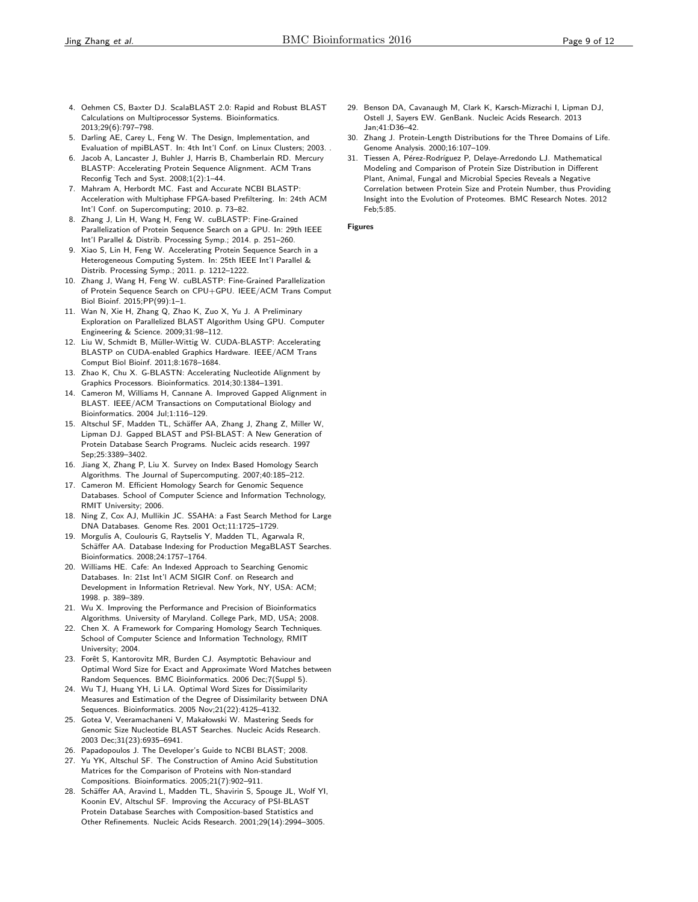- 4. Oehmen CS, Baxter DJ. ScalaBLAST 2.0: Rapid and Robust BLAST Calculations on Multiprocessor Systems. Bioinformatics. 2013;29(6):797–798.
- Darling AE, Carey L, Feng W. The Design, Implementation, and Evaluation of mpiBLAST. In: 4th Int'l Conf. on Linux Clusters; 2003. .
- 6. Jacob A, Lancaster J, Buhler J, Harris B, Chamberlain RD. Mercury BLASTP: Accelerating Protein Sequence Alignment. ACM Trans Reconfig Tech and Syst. 2008;1(2):1–44.
- 7. Mahram A, Herbordt MC. Fast and Accurate NCBI BLASTP: Acceleration with Multiphase FPGA-based Prefiltering. In: 24th ACM Int'l Conf. on Supercomputing; 2010. p. 73–82.
- 8. Zhang J, Lin H, Wang H, Feng W. cuBLASTP: Fine-Grained Parallelization of Protein Sequence Search on a GPU. In: 29th IEEE Int'l Parallel & Distrib. Processing Symp.; 2014. p. 251–260.
- 9. Xiao S, Lin H, Feng W. Accelerating Protein Sequence Search in a Heterogeneous Computing System. In: 25th IEEE Int'l Parallel & Distrib. Processing Symp.; 2011. p. 1212–1222.
- 10. Zhang J, Wang H, Feng W. cuBLASTP: Fine-Grained Parallelization of Protein Sequence Search on CPU+GPU. IEEE/ACM Trans Comput Biol Bioinf. 2015;PP(99):1–1.
- 11. Wan N, Xie H, Zhang Q, Zhao K, Zuo X, Yu J. A Preliminary Exploration on Parallelized BLAST Algorithm Using GPU. Computer Engineering & Science. 2009;31:98–112.
- 12. Liu W, Schmidt B, Müller-Wittig W. CUDA-BLASTP: Accelerating BLASTP on CUDA-enabled Graphics Hardware. IEEE/ACM Trans Comput Biol Bioinf. 2011;8:1678–1684.
- 13. Zhao K, Chu X. G-BLASTN: Accelerating Nucleotide Alignment by Graphics Processors. Bioinformatics. 2014;30:1384–1391.
- 14. Cameron M, Williams H, Cannane A. Improved Gapped Alignment in BLAST. IEEE/ACM Transactions on Computational Biology and Bioinformatics. 2004 Jul;1:116–129.
- 15. Altschul SF, Madden TL, Schäffer AA, Zhang J, Zhang Z, Miller W, Lipman DJ. Gapped BLAST and PSI-BLAST: A New Generation of Protein Database Search Programs. Nucleic acids research. 1997 Sep;25:3389–3402.
- 16. Jiang X, Zhang P, Liu X. Survey on Index Based Homology Search Algorithms. The Journal of Supercomputing. 2007;40:185–212.
- 17. Cameron M. Efficient Homology Search for Genomic Sequence Databases. School of Computer Science and Information Technology, RMIT University; 2006.
- 18. Ning Z, Cox AJ, Mullikin JC. SSAHA: a Fast Search Method for Large DNA Databases. Genome Res. 2001 Oct;11:1725–1729.
- 19. Morgulis A, Coulouris G, Raytselis Y, Madden TL, Agarwala R, Schäffer AA. Database Indexing for Production MegaBLAST Searches. Bioinformatics. 2008;24:1757–1764.
- 20. Williams HE. Cafe: An Indexed Approach to Searching Genomic Databases. In: 21st Int'l ACM SIGIR Conf. on Research and Development in Information Retrieval. New York, NY, USA: ACM; 1998. p. 389–389.
- 21. Wu X. Improving the Performance and Precision of Bioinformatics Algorithms. University of Maryland. College Park, MD, USA; 2008.
- 22. Chen X. A Framework for Comparing Homology Search Techniques. School of Computer Science and Information Technology, RMIT University; 2004.
- 23. Forêt S, Kantorovitz MR, Burden CJ. Asymptotic Behaviour and Optimal Word Size for Exact and Approximate Word Matches between Random Sequences. BMC Bioinformatics. 2006 Dec;7(Suppl 5).
- 24. Wu TJ, Huang YH, Li LA. Optimal Word Sizes for Dissimilarity Measures and Estimation of the Degree of Dissimilarity between DNA Sequences. Bioinformatics. 2005 Nov;21(22):4125–4132.
- 25. Gotea V, Veeramachaneni V, Makałowski W. Mastering Seeds for Genomic Size Nucleotide BLAST Searches. Nucleic Acids Research. 2003 Dec;31(23):6935–6941.
- 26. Papadopoulos J. The Developer's Guide to NCBI BLAST; 2008.
- 27. Yu YK, Altschul SF. The Construction of Amino Acid Substitution Matrices for the Comparison of Proteins with Non-standard Compositions. Bioinformatics. 2005;21(7):902–911.
- 28. Schäffer AA, Aravind L, Madden TL, Shavirin S, Spouge JL, Wolf YI, Koonin EV, Altschul SF. Improving the Accuracy of PSI-BLAST Protein Database Searches with Composition-based Statistics and Other Refinements. Nucleic Acids Research. 2001;29(14):2994–3005.
- 29. Benson DA, Cavanaugh M, Clark K, Karsch-Mizrachi I, Lipman DJ, Ostell J, Sayers EW. GenBank. Nucleic Acids Research. 2013 Jan;41:D36–42.
- 30. Zhang J. Protein-Length Distributions for the Three Domains of Life. Genome Analysis. 2000;16:107–109.
- 31. Tiessen A, Pérez-Rodríguez P, Delaye-Arredondo LJ. Mathematical Modeling and Comparison of Protein Size Distribution in Different Plant, Animal, Fungal and Microbial Species Reveals a Negative Correlation between Protein Size and Protein Number, thus Providing Insight into the Evolution of Proteomes. BMC Research Notes. 2012 Feb;5:85.

Figures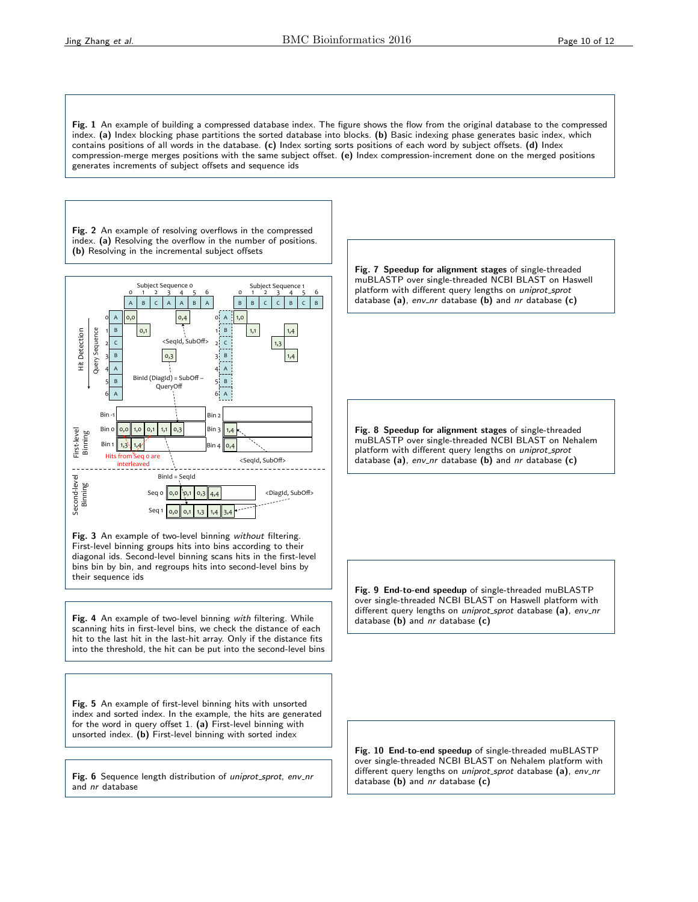Fig. 1 An example of building a compressed database index. The figure shows the flow from the original database to the compressed index. (a) Index blocking phase partitions the sorted database into blocks. (b) Basic indexing phase generates basic index, which contains positions of all words in the database. (c) Index sorting sorts positions of each word by subject offsets. (d) Index compression-merge merges positions with the same subject offset. (e) Index compression-increment done on the merged positions generates increments of subject offsets and sequence ids

Fig. 2 An example of resolving overflows in the compressed index. (a) Resolving the overflow in the number of positions. (b) Resolving in the incremental subject offsets



Fig. 3 An example of two-level binning without filtering. bins bin by bin, and regroups hits into second-level bins by diagonal ids. Second-level binning scans hits in the first-level First-level binning groups hits into bins according to their their sequence ids

0,1"

Iter"2"

0" 0"

1.8" If the scanning hits in first-level bins, we check the distance of each hit to the last hit in the last-hit array. Only if the distance fits Fig. 4 An example of two-level binning with filtering. While into the threshold, the hit can be put into the second-level bins

0,0" 0,1"

Seq"1""

Fig. 5 An example of first-level binning hits with unsorted index and sorted index. In the example, the hits are generated for the word in query offset 1. (a) First-level binning with unsorted index. (b) First-level binning with sorted index

Fig. 6 Sequence length distribution of uniprot\_sprot, env\_nr and nr database

Fig. 7 Speedup for alignment stages of single-threaded muBLASTP over single-threaded NCBI BLAST on Haswell platform with different query lengths on uniprot\_sprot database (a),  $env_nr$  database (b) and  $nr$  database (c)

Fig. 8 Speedup for alignment stages of single-threaded muBLASTP over single-threaded NCBI BLAST on Nehalem platform with different query lengths on uniprot\_sprot database (a),  $env_nr$  database (b) and  $nr$  database (c)

Fig. 9 End-to-end speedup of single-threaded muBLASTP over single-threaded NCBI BLAST on Haswell platform with different query lengths on uniprot\_sprot database (a), env\_nr database  $(b)$  and nr database  $(c)$ 

Fig. 10 End-to-end speedup of single-threaded muBLASTP over single-threaded NCBI BLAST on Nehalem platform with different query lengths on uniprot\_sprot database (a), env\_nr database  $(b)$  and  $nr$  database  $(c)$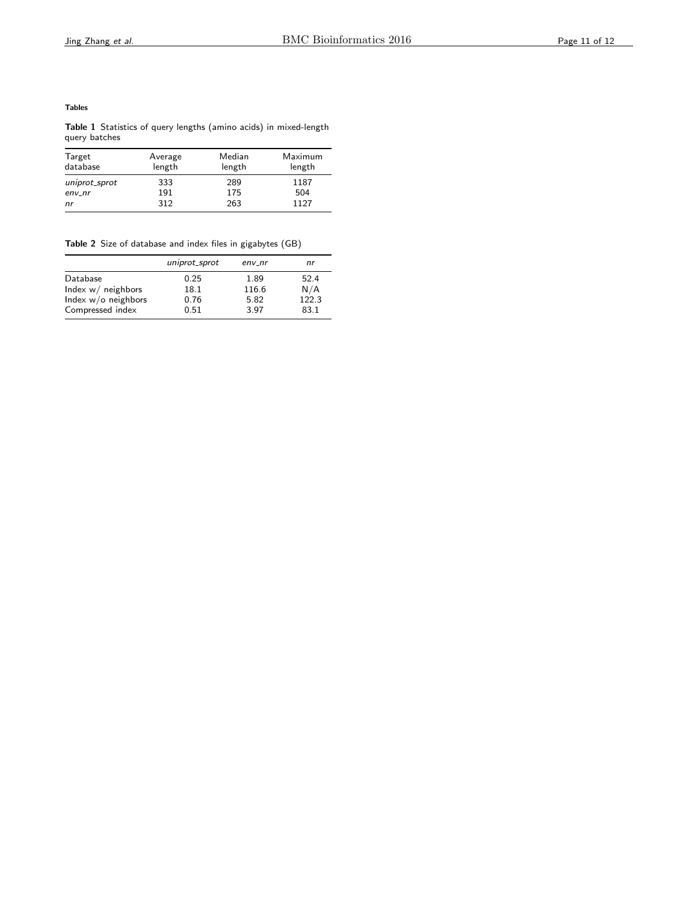## Tables

Table 1 Statistics of query lengths (amino acids) in mixed-length query batches

| Target<br>database | Average<br>length | Median<br>length | Maximum<br>length |
|--------------------|-------------------|------------------|-------------------|
| uniprot_sprot      | 333               | 289              | 1187              |
| $env_nr$           | 191               | 175              | 504               |
| nr                 | 312               | 263              | 1127              |

Table 2 Size of database and index files in gigabytes (GB)

|                      | uniprot_sprot | $env_nr$ | nr    |
|----------------------|---------------|----------|-------|
| Database             | 0.25          | 1.89     | 52.4  |
| Index $w/$ neighbors | 18.1          | 116.6    | N/A   |
| Index w/o neighbors  | 0.76          | 5.82     | 122.3 |
| Compressed index     | 0.51          | 3.97     | 83.1  |